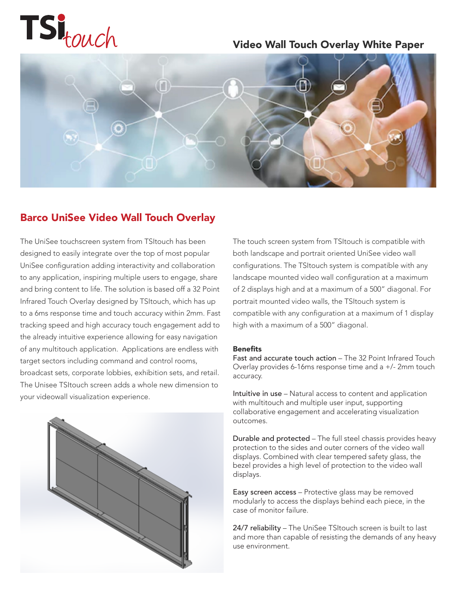

### Video Wall Touch Overlay White Paper



### Barco UniSee Video Wall Touch Overlay

The UniSee touchscreen system from TSItouch has been designed to easily integrate over the top of most popular UniSee configuration adding interactivity and collaboration to any application, inspiring multiple users to engage, share and bring content to life. The solution is based off a 32 Point Infrared Touch Overlay designed by TSItouch, which has up to a 6ms response time and touch accuracy within 2mm. Fast tracking speed and high accuracy touch engagement add to the already intuitive experience allowing for easy navigation of any multitouch application. Applications are endless with target sectors including command and control rooms, broadcast sets, corporate lobbies, exhibition sets, and retail. The Unisee TSItouch screen adds a whole new dimension to your videowall visualization experience.



The touch screen system from TSItouch is compatible with both landscape and portrait oriented UniSee video wall configurations. The TSItouch system is compatible with any landscape mounted video wall configuration at a maximum of 2 displays high and at a maximum of a 500" diagonal. For portrait mounted video walls, the TSItouch system is compatible with any configuration at a maximum of 1 display high with a maximum of a 500" diagonal.

#### Benefits

Fast and accurate touch action – The 32 Point Infrared Touch Overlay provides 6-16ms response time and a +/- 2mm touch accuracy.

Intuitive in use – Natural access to content and application with multitouch and multiple user input, supporting collaborative engagement and accelerating visualization outcomes.

Durable and protected – The full steel chassis provides heavy protection to the sides and outer corners of the video wall displays. Combined with clear tempered safety glass, the bezel provides a high level of protection to the video wall displays.

Easy screen access – Protective glass may be removed modularly to access the displays behind each piece, in the case of monitor failure.

24/7 reliability - The UniSee TSItouch screen is built to last and more than capable of resisting the demands of any heavy use environment.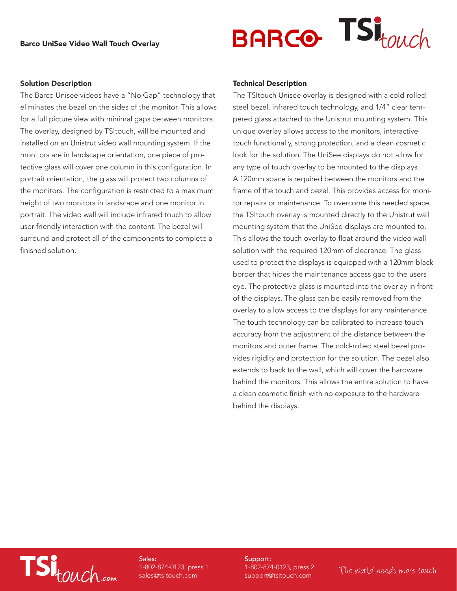

#### Solution Description

The Barco Unisee videos have a "No Gap" technology that eliminates the bezel on the sides of the monitor. This allows for a full picture view with minimal gaps between monitors. The overlay, designed by TSItouch, will be mounted and installed on an Unistrut video wall mounting system. If the monitors are in landscape orientation, one piece of protective glass will cover one column in this configuration. In portrait orientation, the glass will protect two columns of the monitors. The configuration is restricted to a maximum height of two monitors in landscape and one monitor in portrait. The video wall will include infrared touch to allow user-friendly interaction with the content. The bezel will surround and protect all of the components to complete a finished solution.

#### Technical Description

The TSItouch Unisee overlay is designed with a cold-rolled steel bezel, infrared touch technology, and 1/4" clear tempered glass attached to the Unistrut mounting system. This unique overlay allows access to the monitors, interactive touch functionally, strong protection, and a clean cosmetic look for the solution. The UniSee displays do not allow for any type of touch overlay to be mounted to the displays. A 120mm space is required between the monitors and the frame of the touch and bezel. This provides access for monitor repairs or maintenance. To overcome this needed space, the TSItouch overlay is mounted directly to the Unistrut wall mounting system that the UniSee displays are mounted to. This allows the touch overlay to float around the video wall solution with the required 120mm of clearance. The glass used to protect the displays is equipped with a 120mm black border that hides the maintenance access gap to the users eye. The protective glass is mounted into the overlay in front of the displays. The glass can be easily removed from the overlay to allow access to the displays for any maintenance. The touch technology can be calibrated to increase touch accuracy from the adjustment of the distance between the monitors and outer frame. The cold-rolled steel bezel provides rigidity and protection for the solution. The bezel also extends to back to the wall, which will cover the hardware behind the monitors. This allows the entire solution to have a clean cosmetic finish with no exposure to the hardware behind the displays.

# TSI<sub>touch.com</sub>

Sales: 1-802-874-0123, press 1 sales@tsitouch.com

Support: 1-802-874-0123, press 2 support@tsitouch.com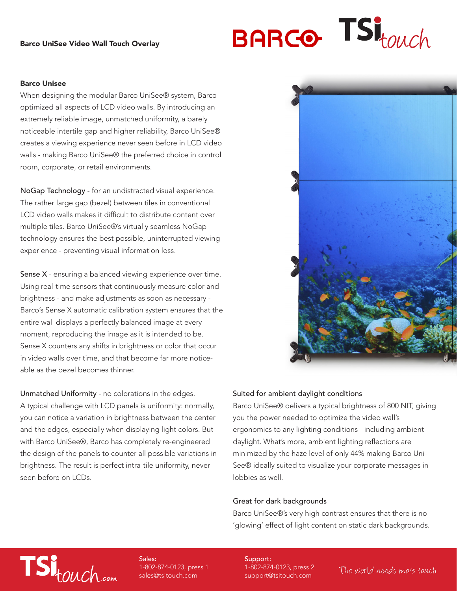#### Barco UniSee Video Wall Touch Overlay



#### Barco Unisee

When designing the modular Barco UniSee® system, Barco optimized all aspects of LCD video walls. By introducing an extremely reliable image, unmatched uniformity, a barely noticeable intertile gap and higher reliability, Barco UniSee® creates a viewing experience never seen before in LCD video walls - making Barco UniSee® the preferred choice in control room, corporate, or retail environments.

NoGap Technology - for an undistracted visual experience. The rather large gap (bezel) between tiles in conventional LCD video walls makes it difficult to distribute content over multiple tiles. Barco UniSee®'s virtually seamless NoGap technology ensures the best possible, uninterrupted viewing experience - preventing visual information loss.

Sense X - ensuring a balanced viewing experience over time. Using real-time sensors that continuously measure color and brightness - and make adjustments as soon as necessary - Barco's Sense X automatic calibration system ensures that the entire wall displays a perfectly balanced image at every moment, reproducing the image as it is intended to be. Sense X counters any shifts in brightness or color that occur in video walls over time, and that become far more noticeable as the bezel becomes thinner.

Unmatched Uniformity - no colorations in the edges. A typical challenge with LCD panels is uniformity: normally, you can notice a variation in brightness between the center and the edges, especially when displaying light colors. But with Barco UniSee®, Barco has completely re-engineered the design of the panels to counter all possible variations in brightness. The result is perfect intra-tile uniformity, never seen before on LCDs.



#### Suited for ambient daylight conditions

Barco UniSee® delivers a typical brightness of 800 NIT, giving you the power needed to optimize the video wall's ergonomics to any lighting conditions - including ambient daylight. What's more, ambient lighting reflections are minimized by the haze level of only 44% making Barco Uni-See® ideally suited to visualize your corporate messages in lobbies as well.

#### Great for dark backgrounds

Barco UniSee®'s very high contrast ensures that there is no 'glowing' effect of light content on static dark backgrounds.

## TSitouch.com

Sales: 1-802-874-0123, press 1 sales@tsitouch.com

Support: 1-802-874-0123, press 2 support@tsitouch.com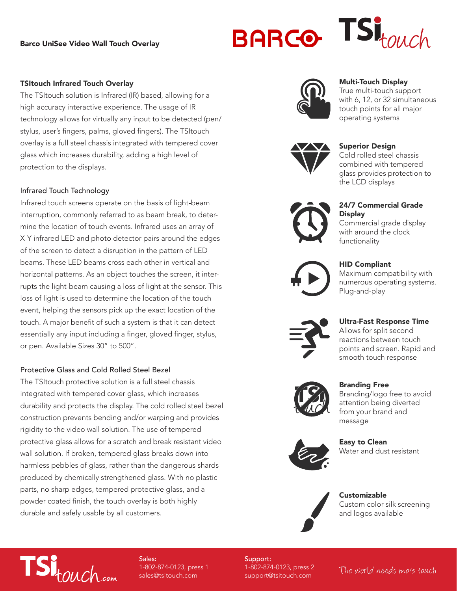#### Barco UniSee Video Wall Touch Overlay

# **BARCO**



#### TSItouch Infrared Touch Overlay

The TSItouch solution is Infrared (IR) based, allowing for a high accuracy interactive experience. The usage of IR technology allows for virtually any input to be detected (pen/ stylus, user's fingers, palms, gloved fingers). The TSItouch overlay is a full steel chassis integrated with tempered cover glass which increases durability, adding a high level of protection to the displays.

#### Infrared Touch Technology

Infrared touch screens operate on the basis of light-beam interruption, commonly referred to as beam break, to determine the location of touch events. Infrared uses an array of X-Y infrared LED and photo detector pairs around the edges of the screen to detect a disruption in the pattern of LED beams. These LED beams cross each other in vertical and horizontal patterns. As an object touches the screen, it interrupts the light-beam causing a loss of light at the sensor. This loss of light is used to determine the location of the touch event, helping the sensors pick up the exact location of the touch. A major benefit of such a system is that it can detect essentially any input including a finger, gloved finger, stylus, or pen. Available Sizes 30" to 500".

#### Protective Glass and Cold Rolled Steel Bezel

The TSItouch protective solution is a full steel chassis integrated with tempered cover glass, which increases durability and protects the display. The cold rolled steel bezel construction prevents bending and/or warping and provides rigidity to the video wall solution. The use of tempered protective glass allows for a scratch and break resistant video wall solution. If broken, tempered glass breaks down into harmless pebbles of glass, rather than the dangerous shards produced by chemically strengthened glass. With no plastic parts, no sharp edges, tempered protective glass, and a powder coated finish, the touch overlay is both highly durable and safely usable by all customers.



#### Multi-Touch Display

True multi-touch support with 6, 12, or 32 simultaneous touch points for all major operating systems



#### Superior Design

Cold rolled steel chassis combined with tempered glass provides protection to the LCD displays



### 24/7 Commercial Grade **Display**

Commercial grade display with around the clock functionality



#### HID Compliant

Maximum compatibility with numerous operating systems. Plug-and-play



#### Ultra-Fast Response Time

Allows for split second reactions between touch points and screen. Rapid and smooth touch response



Branding Free

Branding/logo free to avoid attention being diverted from your brand and message



Easy to Clean Water and dust resistant



## Customizable

Custom color silk screening and logos available



Sales: 1-802-874-0123, press 1 sales@tsitouch.com

Support: 1-802-874-0123, press 2 support@tsitouch.com